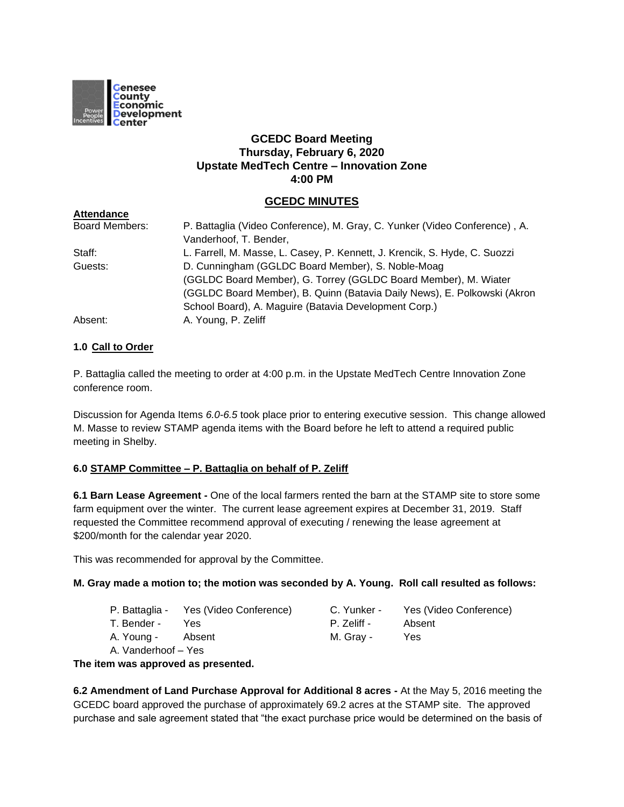

## **GCEDC Board Meeting Thursday, February 6, 2020 Upstate MedTech Centre – Innovation Zone 4:00 PM**

## **GCEDC MINUTES**

| <b>Attendance</b>     |                                                                            |
|-----------------------|----------------------------------------------------------------------------|
| <b>Board Members:</b> | P. Battaglia (Video Conference), M. Gray, C. Yunker (Video Conference), A. |
|                       | Vanderhoof, T. Bender,                                                     |
| Staff:                | L. Farrell, M. Masse, L. Casey, P. Kennett, J. Krencik, S. Hyde, C. Suozzi |
| Guests:               | D. Cunningham (GGLDC Board Member), S. Noble-Moag                          |
|                       | (GGLDC Board Member), G. Torrey (GGLDC Board Member), M. Wiater            |
|                       | (GGLDC Board Member), B. Quinn (Batavia Daily News), E. Polkowski (Akron   |
|                       | School Board), A. Maguire (Batavia Development Corp.)                      |
| Absent:               | A. Young, P. Zeliff                                                        |

### **1.0 Call to Order**

P. Battaglia called the meeting to order at 4:00 p.m. in the Upstate MedTech Centre Innovation Zone conference room.

Discussion for Agenda Items *6.0-6.5* took place prior to entering executive session. This change allowed M. Masse to review STAMP agenda items with the Board before he left to attend a required public meeting in Shelby.

### **6.0 STAMP Committee – P. Battaglia on behalf of P. Zeliff**

**6.1 Barn Lease Agreement -** One of the local farmers rented the barn at the STAMP site to store some farm equipment over the winter. The current lease agreement expires at December 31, 2019. Staff requested the Committee recommend approval of executing / renewing the lease agreement at \$200/month for the calendar year 2020.

This was recommended for approval by the Committee.

#### **M. Gray made a motion to; the motion was seconded by A. Young. Roll call resulted as follows:**

- P. Battaglia Yes (Video Conference) C. Yunker Yes (Video Conference)
- T. Bender Yes P. Zeliff Absent
- A. Young Absent M. Gray Yes

A. Vanderhoof – Yes

**The item was approved as presented.**

**6.2 Amendment of Land Purchase Approval for Additional 8 acres -** At the May 5, 2016 meeting the GCEDC board approved the purchase of approximately 69.2 acres at the STAMP site. The approved purchase and sale agreement stated that "the exact purchase price would be determined on the basis of

- 
-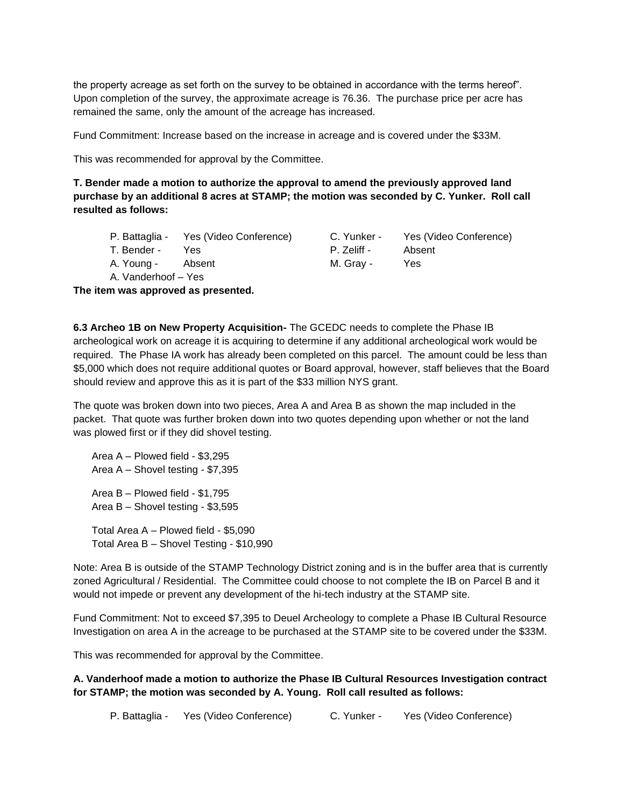the property acreage as set forth on the survey to be obtained in accordance with the terms hereof". Upon completion of the survey, the approximate acreage is 76.36. The purchase price per acre has remained the same, only the amount of the acreage has increased.

Fund Commitment: Increase based on the increase in acreage and is covered under the \$33M.

This was recommended for approval by the Committee.

**T. Bender made a motion to authorize the approval to amend the previously approved land purchase by an additional 8 acres at STAMP; the motion was seconded by C. Yunker. Roll call resulted as follows:**

|                     | P. Battaglia - Yes (Video Conference) | C. Yunker - | Yes (Video Conference) |
|---------------------|---------------------------------------|-------------|------------------------|
| T. Bender -         | Yes.                                  | P. Zeliff - | Absent                 |
| A. Young -          | Absent                                | M. Grav -   | Yes                    |
| A. Vanderhoof - Yes |                                       |             |                        |

**The item was approved as presented.**

**6.3 Archeo 1B on New Property Acquisition-** The GCEDC needs to complete the Phase IB archeological work on acreage it is acquiring to determine if any additional archeological work would be required. The Phase IA work has already been completed on this parcel. The amount could be less than \$5,000 which does not require additional quotes or Board approval, however, staff believes that the Board should review and approve this as it is part of the \$33 million NYS grant.

The quote was broken down into two pieces, Area A and Area B as shown the map included in the packet. That quote was further broken down into two quotes depending upon whether or not the land was plowed first or if they did shovel testing.

Area A – Plowed field - \$3,295 Area A – Shovel testing - \$7,395 Area B – Plowed field - \$1,795 Area B – Shovel testing - \$3,595

Total Area A – Plowed field - \$5,090 Total Area B – Shovel Testing - \$10,990

Note: Area B is outside of the STAMP Technology District zoning and is in the buffer area that is currently zoned Agricultural / Residential. The Committee could choose to not complete the IB on Parcel B and it would not impede or prevent any development of the hi-tech industry at the STAMP site.

Fund Commitment: Not to exceed \$7,395 to Deuel Archeology to complete a Phase IB Cultural Resource Investigation on area A in the acreage to be purchased at the STAMP site to be covered under the \$33M.

This was recommended for approval by the Committee.

**A. Vanderhoof made a motion to authorize the Phase IB Cultural Resources Investigation contract for STAMP; the motion was seconded by A. Young. Roll call resulted as follows:**

P. Battaglia - Yes (Video Conference) C. Yunker - Yes (Video Conference)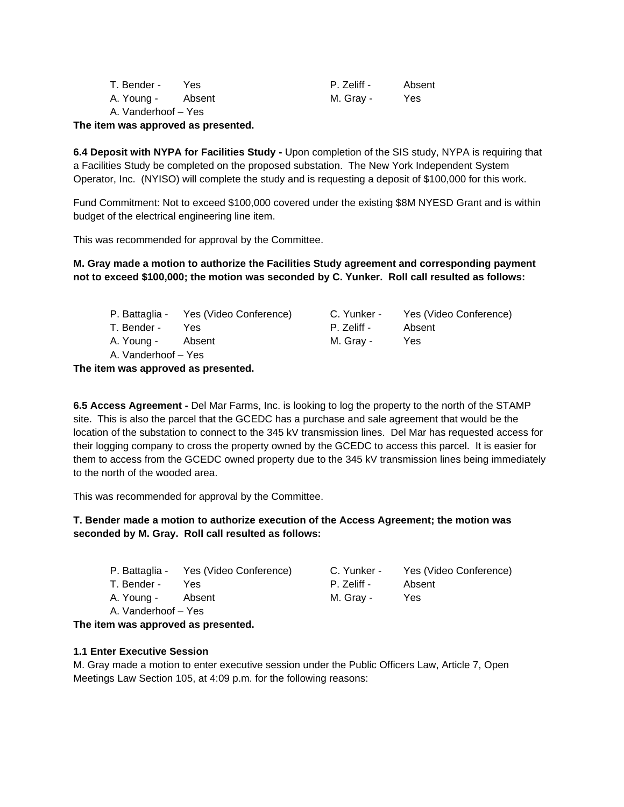| T. Bender -         | Yes.   | P. Zeliff - | Absent |
|---------------------|--------|-------------|--------|
| A. Young -          | Absent | M. Grav -   | Yes.   |
| A. Vanderhoof - Yes |        |             |        |

#### **The item was approved as presented.**

**6.4 Deposit with NYPA for Facilities Study -** Upon completion of the SIS study, NYPA is requiring that a Facilities Study be completed on the proposed substation. The New York Independent System Operator, Inc. (NYISO) will complete the study and is requesting a deposit of \$100,000 for this work.

Fund Commitment: Not to exceed \$100,000 covered under the existing \$8M NYESD Grant and is within budget of the electrical engineering line item.

This was recommended for approval by the Committee.

**M. Gray made a motion to authorize the Facilities Study agreement and corresponding payment not to exceed \$100,000; the motion was seconded by C. Yunker. Roll call resulted as follows:**

|                     | P. Battaglia - Yes (Video Conference) |             | C. Yunker - Yes (Video Conference) |
|---------------------|---------------------------------------|-------------|------------------------------------|
| T. Bender -         | Yes                                   | P. Zeliff - | Absent                             |
| A. Young - Absent   |                                       | M. Grav -   | Yes                                |
| A. Vanderhoof – Yes |                                       |             |                                    |

**The item was approved as presented.**

**6.5 Access Agreement -** Del Mar Farms, Inc. is looking to log the property to the north of the STAMP site. This is also the parcel that the GCEDC has a purchase and sale agreement that would be the location of the substation to connect to the 345 kV transmission lines. Del Mar has requested access for their logging company to cross the property owned by the GCEDC to access this parcel. It is easier for them to access from the GCEDC owned property due to the 345 kV transmission lines being immediately to the north of the wooded area.

This was recommended for approval by the Committee.

**T. Bender made a motion to authorize execution of the Access Agreement; the motion was seconded by M. Gray. Roll call resulted as follows:**

|                     | P. Battaglia - Yes (Video Conference) | C. Yunker - | Yes (Video Conference) |
|---------------------|---------------------------------------|-------------|------------------------|
| T. Bender -         | <b>Yes</b>                            | P. Zeliff - | Absent                 |
| A. Young - Absent   |                                       | M. Grav -   | Yes                    |
| A. Vanderhoof – Yes |                                       |             |                        |

**The item was approved as presented.**

#### **1.1 Enter Executive Session**

M. Gray made a motion to enter executive session under the Public Officers Law, Article 7, Open Meetings Law Section 105, at 4:09 p.m. for the following reasons: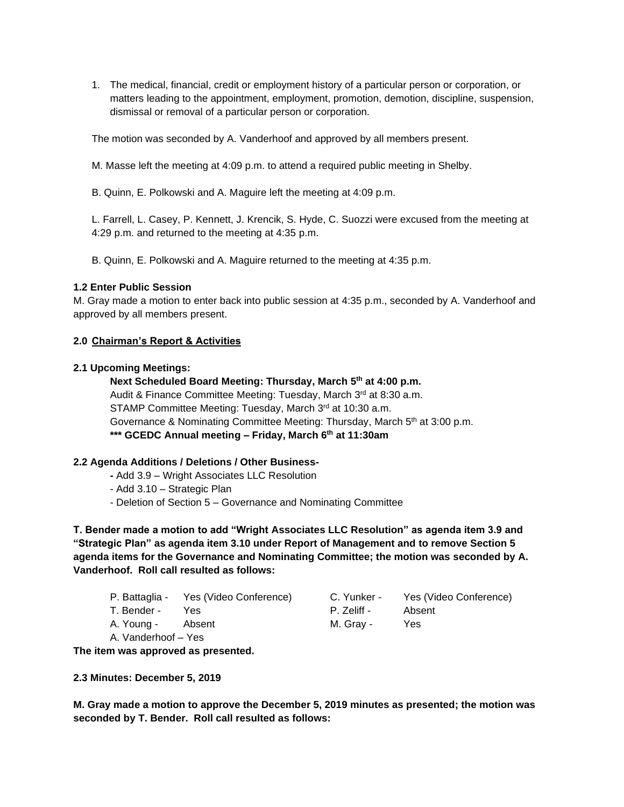1. The medical, financial, credit or employment history of a particular person or corporation, or matters leading to the appointment, employment, promotion, demotion, discipline, suspension, dismissal or removal of a particular person or corporation.

The motion was seconded by A. Vanderhoof and approved by all members present.

M. Masse left the meeting at 4:09 p.m. to attend a required public meeting in Shelby.

B. Quinn, E. Polkowski and A. Maguire left the meeting at 4:09 p.m.

L. Farrell, L. Casey, P. Kennett, J. Krencik, S. Hyde, C. Suozzi were excused from the meeting at 4:29 p.m. and returned to the meeting at 4:35 p.m.

B. Quinn, E. Polkowski and A. Maguire returned to the meeting at 4:35 p.m.

#### **1.2 Enter Public Session**

M. Gray made a motion to enter back into public session at 4:35 p.m., seconded by A. Vanderhoof and approved by all members present.

### **2.0 Chairman's Report & Activities**

#### **2.1 Upcoming Meetings:**

**Next Scheduled Board Meeting: Thursday, March 5th at 4:00 p.m.** Audit & Finance Committee Meeting: Tuesday, March 3rd at 8:30 a.m. STAMP Committee Meeting: Tuesday, March 3rd at 10:30 a.m. Governance & Nominating Committee Meeting: Thursday, March  $5<sup>th</sup>$  at 3:00 p.m. **\*\*\* GCEDC Annual meeting – Friday, March 6th at 11:30am**

### **2.2 Agenda Additions / Deletions / Other Business-**

- **-** Add 3.9 Wright Associates LLC Resolution
- Add 3.10 Strategic Plan
- Deletion of Section 5 Governance and Nominating Committee

**T. Bender made a motion to add "Wright Associates LLC Resolution" as agenda item 3.9 and "Strategic Plan" as agenda item 3.10 under Report of Management and to remove Section 5 agenda items for the Governance and Nominating Committee; the motion was seconded by A. Vanderhoof. Roll call resulted as follows:**

- P. Battaglia Yes (Video Conference) C. Yunker Yes (Video Conference)
- T. Bender Yes P. Zeliff Absent
- A. Young Absent M. Gray Yes

A. Vanderhoof – Yes

**The item was approved as presented.**

**2.3 Minutes: December 5, 2019**

**M. Gray made a motion to approve the December 5, 2019 minutes as presented; the motion was seconded by T. Bender. Roll call resulted as follows:**

- 
-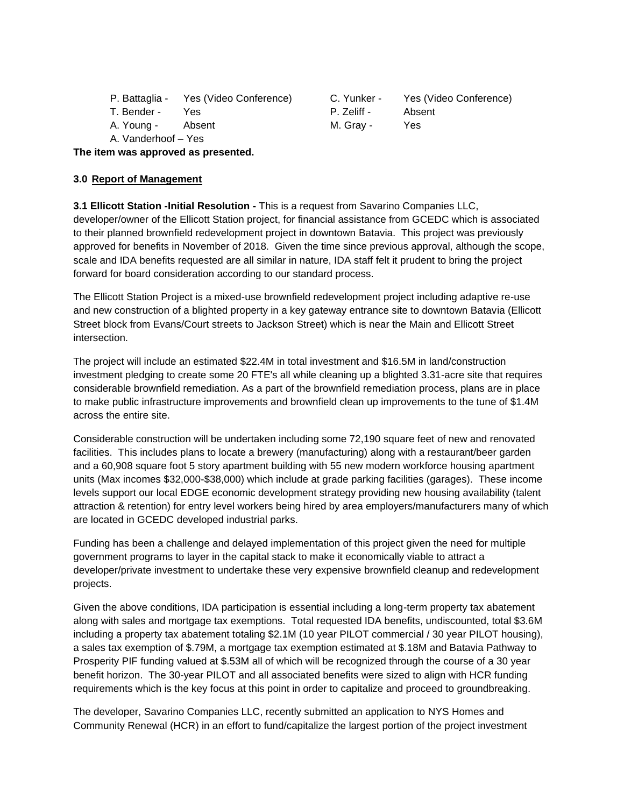| P. Battaglia - | Yes (Video Conference) |
|----------------|------------------------|
|----------------|------------------------|

A. Vanderhoof – Yes

) C. Yunker - Yes (Video Conference) T. Bender - Yes **P. Zeliff - Absent** A. Young - Absent M. Gray - Yes

**The item was approved as presented.**

## **3.0 Report of Management**

**3.1 Ellicott Station -Initial Resolution -** This is a request from Savarino Companies LLC, developer/owner of the Ellicott Station project, for financial assistance from GCEDC which is associated to their planned brownfield redevelopment project in downtown Batavia. This project was previously approved for benefits in November of 2018. Given the time since previous approval, although the scope, scale and IDA benefits requested are all similar in nature, IDA staff felt it prudent to bring the project forward for board consideration according to our standard process.

The Ellicott Station Project is a mixed-use brownfield redevelopment project including adaptive re-use and new construction of a blighted property in a key gateway entrance site to downtown Batavia (Ellicott Street block from Evans/Court streets to Jackson Street) which is near the Main and Ellicott Street intersection.

The project will include an estimated \$22.4M in total investment and \$16.5M in land/construction investment pledging to create some 20 FTE's all while cleaning up a blighted 3.31-acre site that requires considerable brownfield remediation. As a part of the brownfield remediation process, plans are in place to make public infrastructure improvements and brownfield clean up improvements to the tune of \$1.4M across the entire site.

Considerable construction will be undertaken including some 72,190 square feet of new and renovated facilities. This includes plans to locate a brewery (manufacturing) along with a restaurant/beer garden and a 60,908 square foot 5 story apartment building with 55 new modern workforce housing apartment units (Max incomes \$32,000-\$38,000) which include at grade parking facilities (garages). These income levels support our local EDGE economic development strategy providing new housing availability (talent attraction & retention) for entry level workers being hired by area employers/manufacturers many of which are located in GCEDC developed industrial parks.

Funding has been a challenge and delayed implementation of this project given the need for multiple government programs to layer in the capital stack to make it economically viable to attract a developer/private investment to undertake these very expensive brownfield cleanup and redevelopment projects.

Given the above conditions, IDA participation is essential including a long-term property tax abatement along with sales and mortgage tax exemptions. Total requested IDA benefits, undiscounted, total \$3.6M including a property tax abatement totaling \$2.1M (10 year PILOT commercial / 30 year PILOT housing), a sales tax exemption of \$.79M, a mortgage tax exemption estimated at \$.18M and Batavia Pathway to Prosperity PIF funding valued at \$.53M all of which will be recognized through the course of a 30 year benefit horizon. The 30-year PILOT and all associated benefits were sized to align with HCR funding requirements which is the key focus at this point in order to capitalize and proceed to groundbreaking.

The developer, Savarino Companies LLC, recently submitted an application to NYS Homes and Community Renewal (HCR) in an effort to fund/capitalize the largest portion of the project investment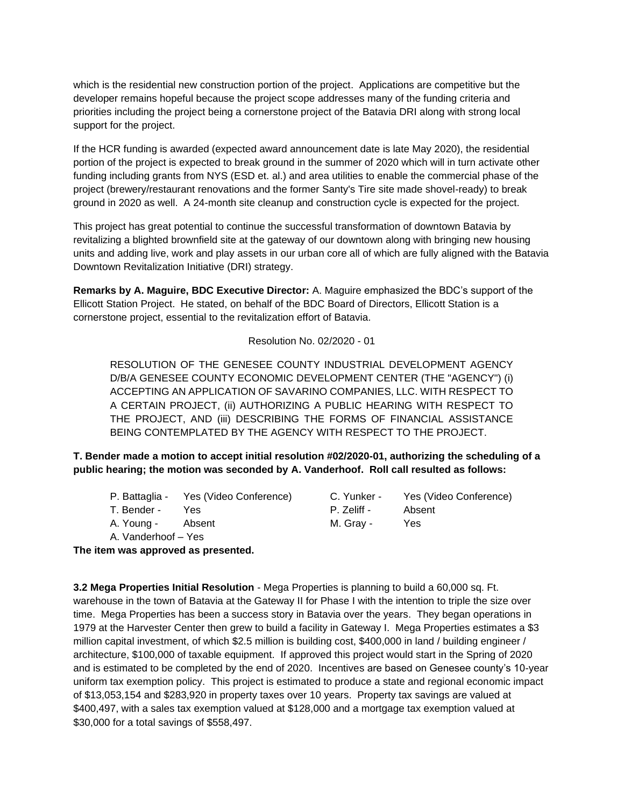which is the residential new construction portion of the project. Applications are competitive but the developer remains hopeful because the project scope addresses many of the funding criteria and priorities including the project being a cornerstone project of the Batavia DRI along with strong local support for the project.

If the HCR funding is awarded (expected award announcement date is late May 2020), the residential portion of the project is expected to break ground in the summer of 2020 which will in turn activate other funding including grants from NYS (ESD et. al.) and area utilities to enable the commercial phase of the project (brewery/restaurant renovations and the former Santy's Tire site made shovel-ready) to break ground in 2020 as well. A 24-month site cleanup and construction cycle is expected for the project.

This project has great potential to continue the successful transformation of downtown Batavia by revitalizing a blighted brownfield site at the gateway of our downtown along with bringing new housing units and adding live, work and play assets in our urban core all of which are fully aligned with the Batavia Downtown Revitalization Initiative (DRI) strategy.

**Remarks by A. Maguire, BDC Executive Director:** A. Maguire emphasized the BDC's support of the Ellicott Station Project. He stated, on behalf of the BDC Board of Directors, Ellicott Station is a cornerstone project, essential to the revitalization effort of Batavia.

Resolution No. 02/2020 - 01

RESOLUTION OF THE GENESEE COUNTY INDUSTRIAL DEVELOPMENT AGENCY D/B/A GENESEE COUNTY ECONOMIC DEVELOPMENT CENTER (THE "AGENCY") (i) ACCEPTING AN APPLICATION OF SAVARINO COMPANIES, LLC. WITH RESPECT TO A CERTAIN PROJECT, (ii) AUTHORIZING A PUBLIC HEARING WITH RESPECT TO THE PROJECT, AND (iii) DESCRIBING THE FORMS OF FINANCIAL ASSISTANCE BEING CONTEMPLATED BY THE AGENCY WITH RESPECT TO THE PROJECT.

**T. Bender made a motion to accept initial resolution #02/2020-01, authorizing the scheduling of a public hearing; the motion was seconded by A. Vanderhoof. Roll call resulted as follows:**

| P. Battaglia - | Yes (Video Conference) |
|----------------|------------------------|
|----------------|------------------------|

- 
- A. Vanderhoof Yes

C. Yunker - Yes (Video Conference) T. Bender - Yes P. Zeliff - Absent A. Young - Absent M. Gray - Yes

**The item was approved as presented.**

**3.2 Mega Properties Initial Resolution** - Mega Properties is planning to build a 60,000 sq. Ft. warehouse in the town of Batavia at the Gateway II for Phase I with the intention to triple the size over time. Mega Properties has been a success story in Batavia over the years. They began operations in 1979 at the Harvester Center then grew to build a facility in Gateway I. Mega Properties estimates a \$3 million capital investment, of which \$2.5 million is building cost, \$400,000 in land / building engineer / architecture, \$100,000 of taxable equipment. If approved this project would start in the Spring of 2020 and is estimated to be completed by the end of 2020. Incentives are based on Genesee county's 10-year uniform tax exemption policy. This project is estimated to produce a state and regional economic impact of \$13,053,154 and \$283,920 in property taxes over 10 years. Property tax savings are valued at \$400,497, with a sales tax exemption valued at \$128,000 and a mortgage tax exemption valued at \$30,000 for a total savings of \$558,497.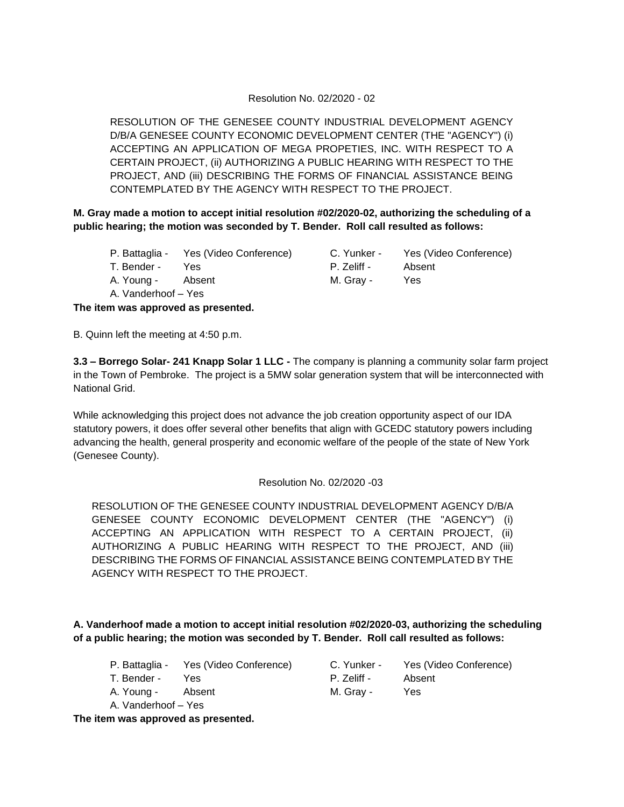### Resolution No. 02/2020 - 02

RESOLUTION OF THE GENESEE COUNTY INDUSTRIAL DEVELOPMENT AGENCY D/B/A GENESEE COUNTY ECONOMIC DEVELOPMENT CENTER (THE "AGENCY") (i) ACCEPTING AN APPLICATION OF MEGA PROPETIES, INC. WITH RESPECT TO A CERTAIN PROJECT, (ii) AUTHORIZING A PUBLIC HEARING WITH RESPECT TO THE PROJECT, AND (iii) DESCRIBING THE FORMS OF FINANCIAL ASSISTANCE BEING CONTEMPLATED BY THE AGENCY WITH RESPECT TO THE PROJECT.

**M. Gray made a motion to accept initial resolution #02/2020-02, authorizing the scheduling of a public hearing; the motion was seconded by T. Bender. Roll call resulted as follows:**

- P. Battaglia Yes (Video Conference) C. Yunker Yes (Video Conference)
- T. Bender Yes **P. Zeliff Absent**
- A. Young Absent M. Gray Yes

A. Vanderhoof – Yes

**The item was approved as presented.**

B. Quinn left the meeting at 4:50 p.m.

**3.3 – Borrego Solar- 241 Knapp Solar 1 LLC -** The company is planning a community solar farm project in the Town of Pembroke. The project is a 5MW solar generation system that will be interconnected with National Grid.

While acknowledging this project does not advance the job creation opportunity aspect of our IDA statutory powers, it does offer several other benefits that align with GCEDC statutory powers including advancing the health, general prosperity and economic welfare of the people of the state of New York (Genesee County).

### Resolution No. 02/2020 -03

RESOLUTION OF THE GENESEE COUNTY INDUSTRIAL DEVELOPMENT AGENCY D/B/A GENESEE COUNTY ECONOMIC DEVELOPMENT CENTER (THE "AGENCY") (i) ACCEPTING AN APPLICATION WITH RESPECT TO A CERTAIN PROJECT, (ii) AUTHORIZING A PUBLIC HEARING WITH RESPECT TO THE PROJECT, AND (iii) DESCRIBING THE FORMS OF FINANCIAL ASSISTANCE BEING CONTEMPLATED BY THE AGENCY WITH RESPECT TO THE PROJECT.

**A. Vanderhoof made a motion to accept initial resolution #02/2020-03, authorizing the scheduling of a public hearing; the motion was seconded by T. Bender. Roll call resulted as follows:**

- P. Battaglia Yes (Video Conference) C. Yunker Yes (Video Conference)
- 
- A. Young Absent M. Gray Yes
- A. Vanderhoof Yes

T. Bender - Yes P. Zeliff - Absent

**The item was approved as presented.**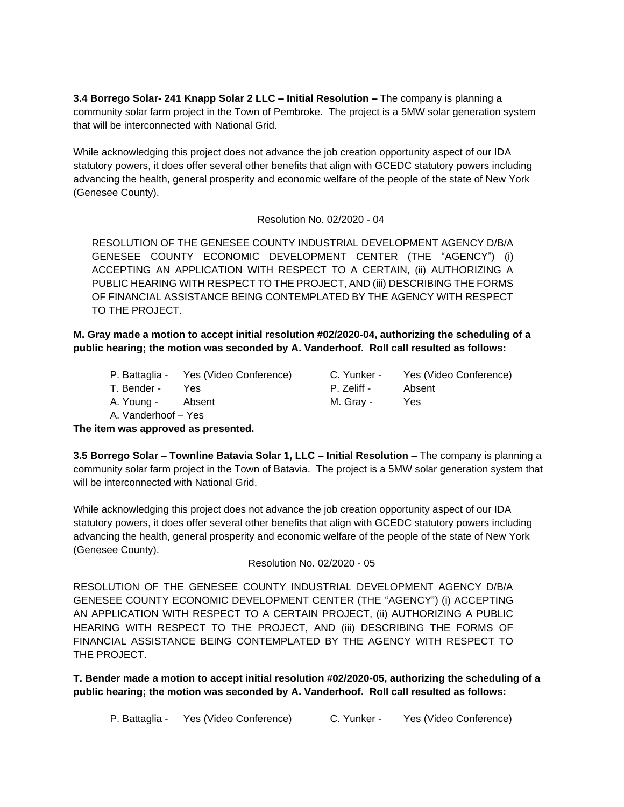**3.4 Borrego Solar- 241 Knapp Solar 2 LLC – Initial Resolution –** The company is planning a community solar farm project in the Town of Pembroke. The project is a 5MW solar generation system that will be interconnected with National Grid.

While acknowledging this project does not advance the job creation opportunity aspect of our IDA statutory powers, it does offer several other benefits that align with GCEDC statutory powers including advancing the health, general prosperity and economic welfare of the people of the state of New York (Genesee County).

Resolution No. 02/2020 - 04

RESOLUTION OF THE GENESEE COUNTY INDUSTRIAL DEVELOPMENT AGENCY D/B/A GENESEE COUNTY ECONOMIC DEVELOPMENT CENTER (THE "AGENCY") (i) ACCEPTING AN APPLICATION WITH RESPECT TO A CERTAIN, (ii) AUTHORIZING A PUBLIC HEARING WITH RESPECT TO THE PROJECT, AND (iii) DESCRIBING THE FORMS OF FINANCIAL ASSISTANCE BEING CONTEMPLATED BY THE AGENCY WITH RESPECT TO THE PROJECT.

**M. Gray made a motion to accept initial resolution #02/2020-04, authorizing the scheduling of a public hearing; the motion was seconded by A. Vanderhoof. Roll call resulted as follows:**

- P. Battaglia Yes (Video Conference) C. Yunker Yes (Video Conference)
- 

A. Young - Absent M. Gray - Yes

A. Vanderhoof – Yes

**The item was approved as presented.**

**3.5 Borrego Solar – Townline Batavia Solar 1, LLC – Initial Resolution –** The company is planning a community solar farm project in the Town of Batavia. The project is a 5MW solar generation system that will be interconnected with National Grid.

While acknowledging this project does not advance the job creation opportunity aspect of our IDA statutory powers, it does offer several other benefits that align with GCEDC statutory powers including advancing the health, general prosperity and economic welfare of the people of the state of New York (Genesee County).

Resolution No. 02/2020 - 05

RESOLUTION OF THE GENESEE COUNTY INDUSTRIAL DEVELOPMENT AGENCY D/B/A GENESEE COUNTY ECONOMIC DEVELOPMENT CENTER (THE "AGENCY") (i) ACCEPTING AN APPLICATION WITH RESPECT TO A CERTAIN PROJECT, (ii) AUTHORIZING A PUBLIC HEARING WITH RESPECT TO THE PROJECT, AND (iii) DESCRIBING THE FORMS OF FINANCIAL ASSISTANCE BEING CONTEMPLATED BY THE AGENCY WITH RESPECT TO THE PROJECT.

**T. Bender made a motion to accept initial resolution #02/2020-05, authorizing the scheduling of a public hearing; the motion was seconded by A. Vanderhoof. Roll call resulted as follows:**

P. Battaglia - Yes (Video Conference) C. Yunker - Yes (Video Conference)

T. Bender - Yes **P. Zeliff - Absent**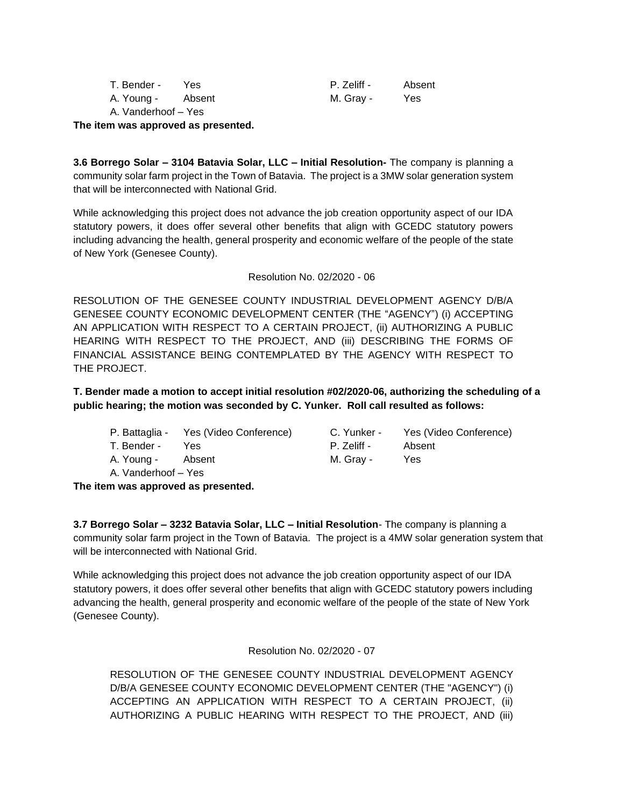| T. Bender -         | Yes    | P. Zeliff - | Absent |
|---------------------|--------|-------------|--------|
| A. Young -          | Absent | M. Gray -   | Yes    |
| A. Vanderhoof – Yes |        |             |        |

**The item was approved as presented.**

**3.6 Borrego Solar – 3104 Batavia Solar, LLC – Initial Resolution-** The company is planning a community solar farm project in the Town of Batavia. The project is a 3MW solar generation system that will be interconnected with National Grid.

While acknowledging this project does not advance the job creation opportunity aspect of our IDA statutory powers, it does offer several other benefits that align with GCEDC statutory powers including advancing the health, general prosperity and economic welfare of the people of the state of New York (Genesee County).

Resolution No. 02/2020 - 06

RESOLUTION OF THE GENESEE COUNTY INDUSTRIAL DEVELOPMENT AGENCY D/B/A GENESEE COUNTY ECONOMIC DEVELOPMENT CENTER (THE "AGENCY") (i) ACCEPTING AN APPLICATION WITH RESPECT TO A CERTAIN PROJECT, (ii) AUTHORIZING A PUBLIC HEARING WITH RESPECT TO THE PROJECT, AND (iii) DESCRIBING THE FORMS OF FINANCIAL ASSISTANCE BEING CONTEMPLATED BY THE AGENCY WITH RESPECT TO THE PROJECT.

**T. Bender made a motion to accept initial resolution #02/2020-06, authorizing the scheduling of a public hearing; the motion was seconded by C. Yunker. Roll call resulted as follows:**

| P. Battaglia - | Yes (Video Conference) | C. Yunker - | Yes (Vi |
|----------------|------------------------|-------------|---------|
| T. Bender -    | Yes                    | P. Zeliff - | Absent  |

A. Vanderhoof – Yes

C. Yunker - Yes (Video Conference) A. Young - Absent M. Gray - Yes

**The item was approved as presented.**

**3.7 Borrego Solar – 3232 Batavia Solar, LLC – Initial Resolution**- The company is planning a community solar farm project in the Town of Batavia. The project is a 4MW solar generation system that will be interconnected with National Grid.

While acknowledging this project does not advance the job creation opportunity aspect of our IDA statutory powers, it does offer several other benefits that align with GCEDC statutory powers including advancing the health, general prosperity and economic welfare of the people of the state of New York (Genesee County).

Resolution No. 02/2020 - 07

RESOLUTION OF THE GENESEE COUNTY INDUSTRIAL DEVELOPMENT AGENCY D/B/A GENESEE COUNTY ECONOMIC DEVELOPMENT CENTER (THE "AGENCY") (i) ACCEPTING AN APPLICATION WITH RESPECT TO A CERTAIN PROJECT, (ii) AUTHORIZING A PUBLIC HEARING WITH RESPECT TO THE PROJECT, AND (iii)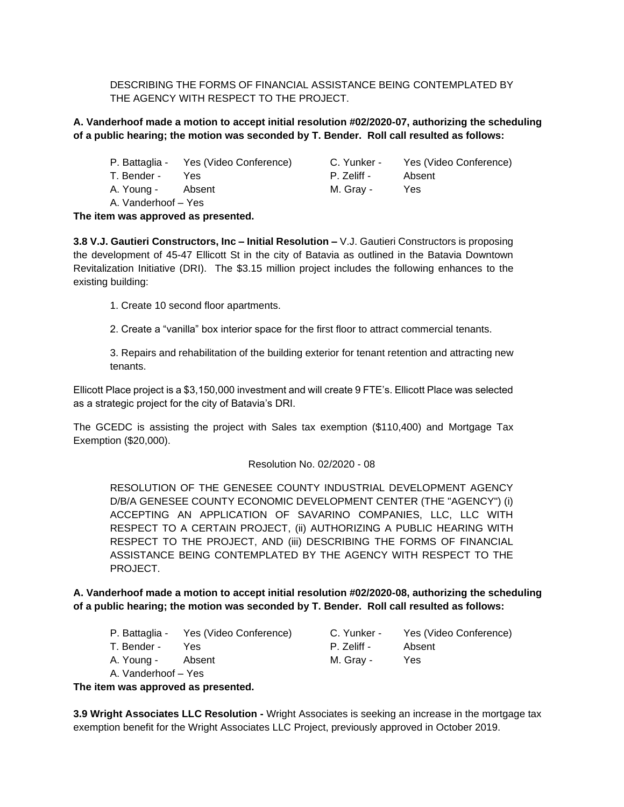DESCRIBING THE FORMS OF FINANCIAL ASSISTANCE BEING CONTEMPLATED BY THE AGENCY WITH RESPECT TO THE PROJECT.

## **A. Vanderhoof made a motion to accept initial resolution #02/2020-07, authorizing the scheduling of a public hearing; the motion was seconded by T. Bender. Roll call resulted as follows:**

- P. Battaglia Yes (Video Conference) C. Yunker Yes (Video Conference)
- 
- A. Young Absent M. Gray Yes

A. Vanderhoof – Yes

T. Bender - Yes P. Zeliff - Absent

**The item was approved as presented.**

**3.8 V.J. Gautieri Constructors, Inc – Initial Resolution –** V.J. Gautieri Constructors is proposing the development of 45-47 Ellicott St in the city of Batavia as outlined in the Batavia Downtown Revitalization Initiative (DRI). The \$3.15 million project includes the following enhances to the existing building:

1. Create 10 second floor apartments.

2. Create a "vanilla" box interior space for the first floor to attract commercial tenants.

3. Repairs and rehabilitation of the building exterior for tenant retention and attracting new tenants.

Ellicott Place project is a \$3,150,000 investment and will create 9 FTE's. Ellicott Place was selected as a strategic project for the city of Batavia's DRI.

The GCEDC is assisting the project with Sales tax exemption (\$110,400) and Mortgage Tax Exemption (\$20,000).

#### Resolution No. 02/2020 - 08

RESOLUTION OF THE GENESEE COUNTY INDUSTRIAL DEVELOPMENT AGENCY D/B/A GENESEE COUNTY ECONOMIC DEVELOPMENT CENTER (THE "AGENCY") (i) ACCEPTING AN APPLICATION OF SAVARINO COMPANIES, LLC, LLC WITH RESPECT TO A CERTAIN PROJECT, (ii) AUTHORIZING A PUBLIC HEARING WITH RESPECT TO THE PROJECT, AND (iii) DESCRIBING THE FORMS OF FINANCIAL ASSISTANCE BEING CONTEMPLATED BY THE AGENCY WITH RESPECT TO THE PROJECT.

**A. Vanderhoof made a motion to accept initial resolution #02/2020-08, authorizing the scheduling of a public hearing; the motion was seconded by T. Bender. Roll call resulted as follows:**

- P. Battaglia Yes (Video Conference) C. Yunker Yes (Video Conference)
- T. Bender Yes **P. Zeliff Absent**
- A. Young Absent M. Gray Yes
- A. Vanderhoof Yes

**The item was approved as presented.**

**3.9 Wright Associates LLC Resolution -** Wright Associates is seeking an increase in the mortgage tax exemption benefit for the Wright Associates LLC Project, previously approved in October 2019.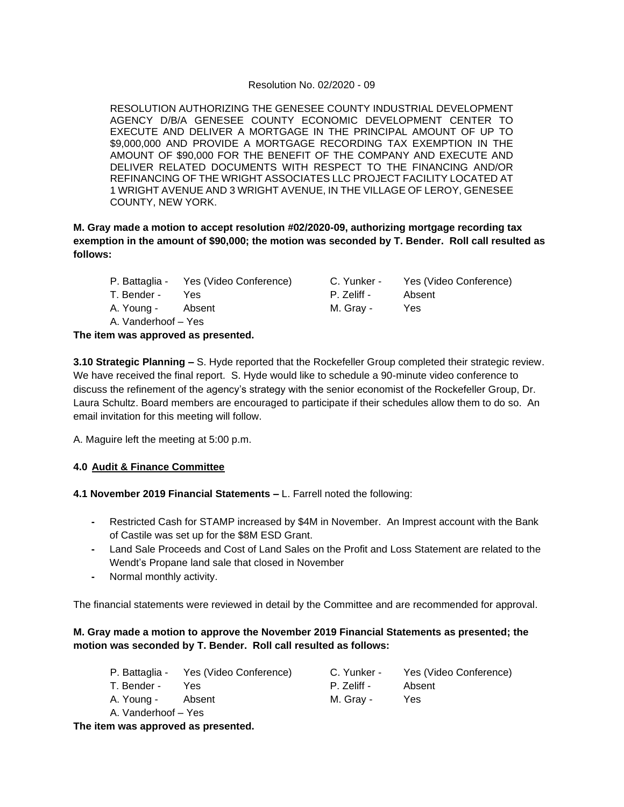#### Resolution No. 02/2020 - 09

RESOLUTION AUTHORIZING THE GENESEE COUNTY INDUSTRIAL DEVELOPMENT AGENCY D/B/A GENESEE COUNTY ECONOMIC DEVELOPMENT CENTER TO EXECUTE AND DELIVER A MORTGAGE IN THE PRINCIPAL AMOUNT OF UP TO \$9,000,000 AND PROVIDE A MORTGAGE RECORDING TAX EXEMPTION IN THE AMOUNT OF \$90,000 FOR THE BENEFIT OF THE COMPANY AND EXECUTE AND DELIVER RELATED DOCUMENTS WITH RESPECT TO THE FINANCING AND/OR REFINANCING OF THE WRIGHT ASSOCIATES LLC PROJECT FACILITY LOCATED AT 1 WRIGHT AVENUE AND 3 WRIGHT AVENUE, IN THE VILLAGE OF LEROY, GENESEE COUNTY, NEW YORK.

**M. Gray made a motion to accept resolution #02/2020-09, authorizing mortgage recording tax exemption in the amount of \$90,000; the motion was seconded by T. Bender. Roll call resulted as follows:**

P. Battaglia - Yes (Video Conference) C. Yunker - Yes (Video Conference) T. Bender - Yes P. Zeliff - Absent A. Young - Absent M. Gray - Yes

A. Vanderhoof – Yes

**The item was approved as presented.**

**3.10 Strategic Planning –** S. Hyde reported that the Rockefeller Group completed their strategic review. We have received the final report. S. Hyde would like to schedule a 90-minute video conference to discuss the refinement of the agency's strategy with the senior economist of the Rockefeller Group, Dr. Laura Schultz. Board members are encouraged to participate if their schedules allow them to do so. An email invitation for this meeting will follow.

A. Maguire left the meeting at 5:00 p.m.

### **4.0 Audit & Finance Committee**

**4.1 November 2019 Financial Statements –** L. Farrell noted the following:

- **-** Restricted Cash for STAMP increased by \$4M in November. An Imprest account with the Bank of Castile was set up for the \$8M ESD Grant.
- **-** Land Sale Proceeds and Cost of Land Sales on the Profit and Loss Statement are related to the Wendt's Propane land sale that closed in November
- **-** Normal monthly activity.

The financial statements were reviewed in detail by the Committee and are recommended for approval.

### **M. Gray made a motion to approve the November 2019 Financial Statements as presented; the motion was seconded by T. Bender. Roll call resulted as follows:**

P. Battaglia - Yes (Video Conference) C. Yunker - Yes (Video Conference) T. Bender - Yes **P. Zeliff - Absent** A. Young - Absent M. Gray - Yes A. Vanderhoof – Yes

### **The item was approved as presented.**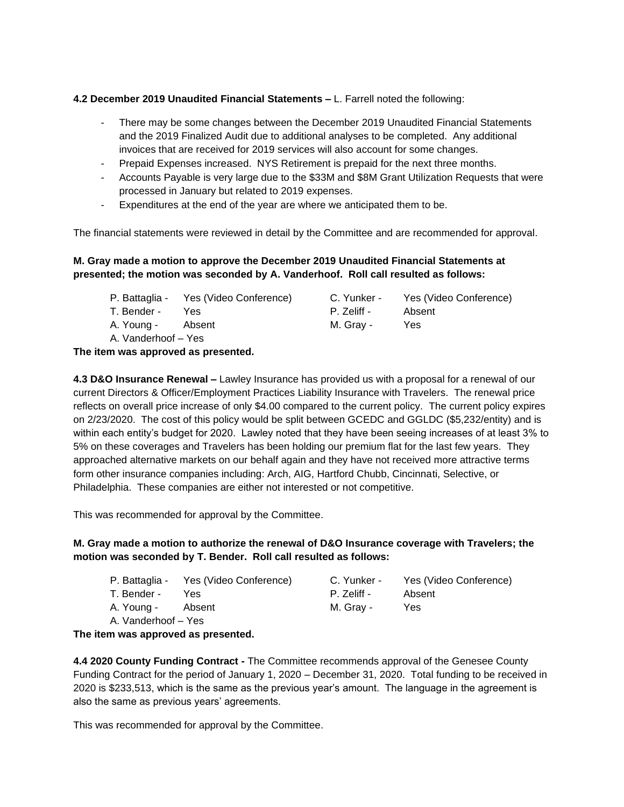#### **4.2 December 2019 Unaudited Financial Statements –** L. Farrell noted the following:

- There may be some changes between the December 2019 Unaudited Financial Statements and the 2019 Finalized Audit due to additional analyses to be completed. Any additional invoices that are received for 2019 services will also account for some changes.
- Prepaid Expenses increased. NYS Retirement is prepaid for the next three months.
- Accounts Payable is very large due to the \$33M and \$8M Grant Utilization Requests that were processed in January but related to 2019 expenses.
- Expenditures at the end of the year are where we anticipated them to be.

The financial statements were reviewed in detail by the Committee and are recommended for approval.

## **M. Gray made a motion to approve the December 2019 Unaudited Financial Statements at presented; the motion was seconded by A. Vanderhoof. Roll call resulted as follows:**

|                     | P. Battaglia - Yes (Video Conference) | C. Yunker - | Yes (Video Conference) |
|---------------------|---------------------------------------|-------------|------------------------|
| T. Bender -         | Yes                                   | P. Zeliff - | Absent                 |
| A. Young -          | Absent                                | M. Grav -   | Yes                    |
| A. Vanderhoof – Yes |                                       |             |                        |

**The item was approved as presented.**

**4.3 D&O Insurance Renewal –** Lawley Insurance has provided us with a proposal for a renewal of our current Directors & Officer/Employment Practices Liability Insurance with Travelers. The renewal price reflects on overall price increase of only \$4.00 compared to the current policy. The current policy expires on 2/23/2020. The cost of this policy would be split between GCEDC and GGLDC (\$5,232/entity) and is within each entity's budget for 2020. Lawley noted that they have been seeing increases of at least 3% to 5% on these coverages and Travelers has been holding our premium flat for the last few years. They approached alternative markets on our behalf again and they have not received more attractive terms form other insurance companies including: Arch, AIG, Hartford Chubb, Cincinnati, Selective, or Philadelphia. These companies are either not interested or not competitive.

This was recommended for approval by the Committee.

## **M. Gray made a motion to authorize the renewal of D&O Insurance coverage with Travelers; the motion was seconded by T. Bender. Roll call resulted as follows:**

|                     | P. Battaglia - Yes (Video Conference) | C. Yunker - | Yes (Video Conference) |
|---------------------|---------------------------------------|-------------|------------------------|
| T. Bender -         | Yes.                                  | P. Zeliff - | Absent                 |
| A. Young - Absent   |                                       | M. Grav -   | Yes                    |
| A. Vanderhoof – Yes |                                       |             |                        |

**The item was approved as presented.**

**4.4 2020 County Funding Contract -** The Committee recommends approval of the Genesee County Funding Contract for the period of January 1, 2020 – December 31, 2020. Total funding to be received in 2020 is \$233,513, which is the same as the previous year's amount. The language in the agreement is also the same as previous years' agreements.

This was recommended for approval by the Committee.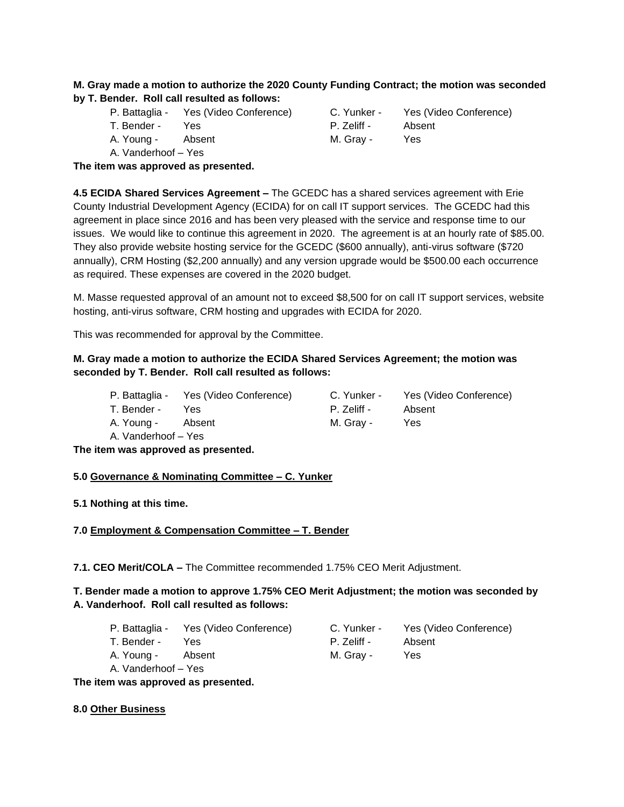### **M. Gray made a motion to authorize the 2020 County Funding Contract; the motion was seconded by T. Bender. Roll call resulted as follows:**

- P. Battaglia Yes (Video Conference) C. Yunker Yes (Video Conference)
- 
- 
- A. Vanderhoof Yes

T. Bender - Yes P. Zeliff - Absent A. Young - Absent M. Gray - Yes

**The item was approved as presented.**

**4.5 ECIDA Shared Services Agreement –** The GCEDC has a shared services agreement with Erie County Industrial Development Agency (ECIDA) for on call IT support services. The GCEDC had this agreement in place since 2016 and has been very pleased with the service and response time to our issues. We would like to continue this agreement in 2020. The agreement is at an hourly rate of \$85.00. They also provide website hosting service for the GCEDC (\$600 annually), anti-virus software (\$720 annually), CRM Hosting (\$2,200 annually) and any version upgrade would be \$500.00 each occurrence as required. These expenses are covered in the 2020 budget.

M. Masse requested approval of an amount not to exceed \$8,500 for on call IT support services, website hosting, anti-virus software, CRM hosting and upgrades with ECIDA for 2020.

This was recommended for approval by the Committee.

### **M. Gray made a motion to authorize the ECIDA Shared Services Agreement; the motion was seconded by T. Bender. Roll call resulted as follows:**

|             | P. Battaglia - Yes (Video Conference) | C. Yunker - | Yes (Video Conference) |
|-------------|---------------------------------------|-------------|------------------------|
| T. Bender - | Yes.                                  | P. Zeliff - | Absent                 |
| A. Young -  | Absent                                | M. Grav -   | Yes                    |

A. Vanderhoof – Yes

**The item was approved as presented.**

## **5.0 Governance & Nominating Committee – C. Yunker**

**5.1 Nothing at this time.**

## **7.0 Employment & Compensation Committee – T. Bender**

**7.1. CEO Merit/COLA –** The Committee recommended 1.75% CEO Merit Adjustment.

## **T. Bender made a motion to approve 1.75% CEO Merit Adjustment; the motion was seconded by A. Vanderhoof. Roll call resulted as follows:**

- P. Battaglia Yes (Video Conference) C. Yunker Yes (Video Conference)
- T. Bender Yes P. Zeliff Absent
- A. Young Absent M. Gray Yes
- A. Vanderhoof Yes

**The item was approved as presented.**

### **8.0 Other Business**